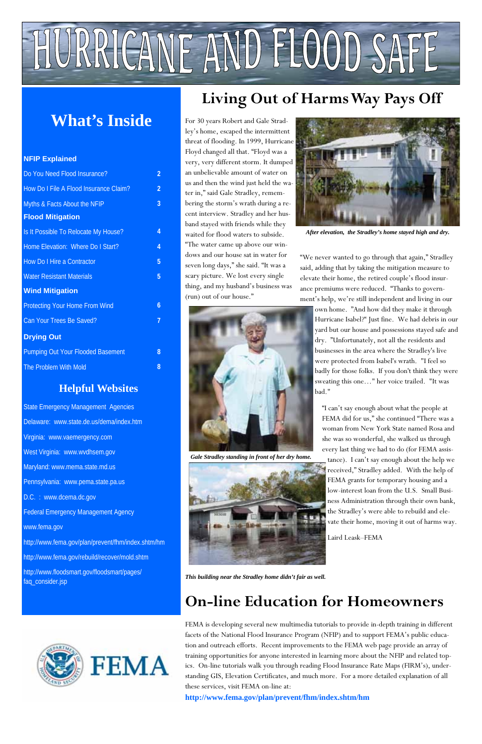

*After elevation, the Stradley's home stayed high and dry.* 

"We never wanted to go through that again," Stradley said, adding that by taking the mitigation measure to elevate their home, the retired couple's flood insurance premiums were reduced. "Thanks to government's help, we're still independent and living in our

own home. "And how did they make it through Hurricane Isabel?" Just fine. We had debris in our yard but our house and possessions stayed safe and dry. "Unfortunately, not all the residents and businesses in the area where the Stradley's live were protected from Isabel's wrath. "I feel so badly for those folks. If you don't think they were sweating this one…" her voice trailed. "It was bad."



*Gale Stradley standing in front of her dry home.* 



"I can't say enough about what the people at FEMA did for us," she continued "There was a woman from New York State named Rosa and she was so wonderful, she walked us through every last thing we had to do (for FEMA assis-

tance). I can't say enough about the help we received," Stradley added. With the help of FEMA grants for temporary housing and a low-interest loan from the U.S. Small Business Administration through their own bank, the Stradley's were able to rebuild and elevate their home, moving it out of harms way.

Laird Leask–FEMA



*This building near the Stradley home didn't fair as well.* 

# **On-line Education for Homeowners**

FEMA is developing several new multimedia tutorials to provide in-depth training in different facets of the National Flood Insurance Program (NFIP) and to support FEMA's public education and outreach efforts. Recent improvements to the FEMA web page provide an array of training opportunities for anyone interested in learning more about the NFIP and related topics. On-line tutorials walk you through reading Flood Insurance Rate Maps (FIRM's), understanding GIS, Elevation Certificates, and much more. For a more detailed explanation of all these services, visit FEMA on-line at:

**http://www.fema.gov/plan/prevent/fhm/index.shtm/hm**

#### **NFIP Explained**

| Do You Need Flood Insurance?             | 2 |
|------------------------------------------|---|
| How Do I File A Flood Insurance Claim?   | 2 |
| Myths & Facts About the NFIP             | 3 |
| <b>Flood Mitigation</b>                  |   |
| Is It Possible To Relocate My House?     | 4 |
| Home Elevation: Where Do I Start?        | 4 |
| How Do I Hire a Contractor               | 5 |
| <b>Water Resistant Materials</b>         | 5 |
| <b>Wind Mitigation</b>                   |   |
| <b>Protecting Your Home From Wind</b>    | 6 |
| Can Your Trees Be Saved?                 | 7 |
| <b>Drying Out</b>                        |   |
| <b>Pumping Out Your Flooded Basement</b> | 8 |
| The Problem With Mold                    | 8 |

## **Helpful Websites**

State Emergency Management Agencies Delaware: www.state.de.us/dema/index.htm Virginia: www.vaemergency.com West Virginia: www.wvdhsem.gov Maryland: www.mema.state.md.us Pennsylvania: www.pema.state.pa.us D.C. : www.dcema.dc.gov Federal Emergency Management Agency www.fema.gov

http://www.fema.gov/plan/prevent/fhm/index.shtm/hm

http://www.fema.gov/rebuild/recover/mold.shtm

http://www.floodsmart.gov/floodsmart/pages/ faq\_consider.jsp



# HURRICANE AND FLOOD SAFE

# **What's Inside**

# **Living Out of Harms Way Pays Off**

For 30 years Robert and Gale Stradley's home, escaped the intermittent threat of flooding. In 1999, Hurricane Floyd changed all that. "Floyd was a very, very different storm. It dumped an unbelievable amount of water on us and then the wind just held the water in," said Gale Stradley, remembering the storm's wrath during a recent interview. Stradley and her husband stayed with friends while they waited for flood waters to subside. "The water came up above our windows and our house sat in water for seven long days," she said. "It was a scary picture. We lost every single thing, and my husband's business was (run) out of our house."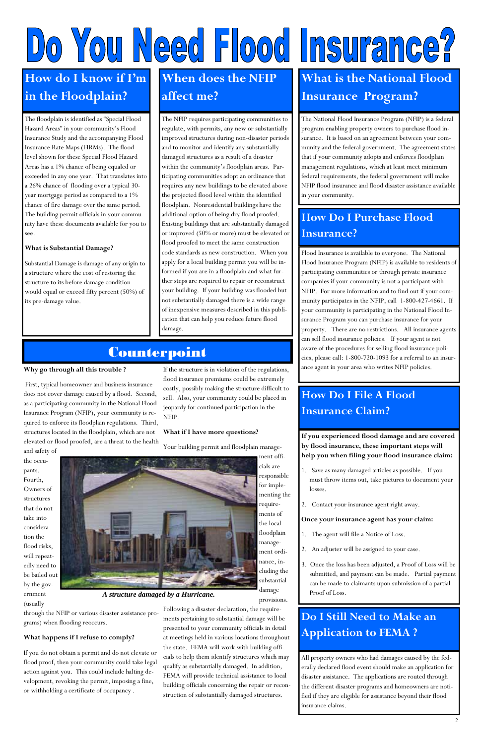**If you experienced flood damage and are covered by flood insurance, these important steps will help you when filing your flood insurance claim:** 

- 1. Save as many damaged articles as possible. If you must throw items out, take pictures to document your losses.
- 2. Contact your insurance agent right away.

- An adjuster will be assigned to your case.
- 3. Once the loss has been adjusted, a Proof of Loss will be submitted, and payment can be made. Partial payment can be made to claimants upon submission of a partial Proof of Loss.

#### **Once your insurance agent has your claim:**

1. The agent will file a Notice of Loss.

The floodplain is identified as "Special Flood Hazard Areas" in your community's Flood Insurance Study and the accompanying Flood Insurance Rate Maps (FIRMs). The flood level shown for these Special Flood Hazard Areas has a 1% chance of being equaled or exceeded in any one year. That translates into a 26% chance of flooding over a typical 30 year mortgage period as compared to a 1% chance of fire damage over the same period. The building permit officials in your community have these documents available for you to see.

#### **What is Substantial Damage?**

Substantial Damage is damage of any origin to a structure where the cost of restoring the structure to its before damage condition would equal or exceed fifty percent (50%) of its pre-damage value.

The NFIP requires participating communities to regulate, with permits, any new or substantially improved structures during non-disaster periods and to monitor and identify any substantially damaged structures as a result of a disaster within the community's floodplain areas. Participating communities adopt an ordinance that requires any new buildings to be elevated above the projected flood level within the identified floodplain. Nonresidential buildings have the additional option of being dry flood proofed. Existing buildings that are substantially damaged or improved (50% or more) must be elevated or flood proofed to meet the same construction code standards as new construction. When you apply for a local building permit you will be informed if you are in a floodplain and what further steps are required to repair or reconstruct your building. If your building was flooded but not substantially damaged there is a wide range of inexpensive measures described in this publication that can help you reduce future flood damage.

# **Counterpoint**

Flood Insurance is available to everyone. The National Flood Insurance Program (NFIP) is available to residents of participating communities or through private insurance companies if your community is not a participant with NFIP. For more information and to find out if your community participates in the NFIP, call 1-800-427-4661. If your community is participating in the National Flood Insurance Program you can purchase insurance for your property. There are no restrictions. All insurance agents can sell flood insurance policies. If your agent is not aware of the procedures for selling flood insurance policies, please call: 1-800-720-1093 for a referral to an insurance agent in your area who writes NFIP policies.

The National Flood Insurance Program (NFIP) is a federal program enabling property owners to purchase flood insurance. It is based on an agreement between your community and the federal government. The agreement states that if your community adopts and enforces floodplain management regulations, which at least meet minimum federal requirements, the federal government will make NFIP flood insurance and flood disaster assistance available in your community.

# Do You Need Flood Insurance?

# **How do I know if I'm in the Floodplain?**

# **When does the NFIP affect me?**

# **What is the National Flood Insurance Program?**

# **How Do I Purchase Flood Insurance?**

# **How Do I File A Flood Insurance Claim?**

# **Do I Still Need to Make an Application to FEMA ?**

All property owners who had damages caused by the federally declared flood event should make an application for disaster assistance. The applications are routed through the different disaster programs and homeowners are notified if they are eligible for assistance beyond their flood insurance claims.

#### **Why go through all this trouble ?**

 First, typical homeowner and business insurance does not cover damage caused by a flood. Second, as a participating community in the National Flood Insurance Program (NFIP), your community is required to enforce its floodplain regulations. Third, structures located in the floodplain, which are not elevated or flood proofed, are a threat to the health and safety of

the occupants. Fourth, Owners of structures that do not take into consideration the



flood risks, will repeatedly need to be bailed out by the government

(usually

through the NFIP or various disaster assistance pro-

grams) when flooding reoccurs.

**What happens if I refuse to comply?** 

If you do not obtain a permit and do not elevate or flood proof, then your community could take legal action against you. This could include halting development, revoking the permit, imposing a fine,

or withholding a certificate of occupancy .

If the structure is in violation of the regulations, flood insurance premiums could be extremely costly, possibly making the structure difficult to sell. Also, your community could be placed in jeopardy for continued participation in the NFIP.

#### **What if I have more questions?**

Your building permit and floodplain manage-

ment officials are responsible for implementing the requirements of the local floodplain manage-

ment ordi-

nance, including the substantial damage provisions.

Following a disaster declaration, the requirements pertaining to substantial damage will be presented to your community officials in detail at meetings held in various locations throughout the state. FEMA will work with building officials to help them identify structures which may qualify as substantially damaged. In addition, FEMA will provide technical assistance to local building officials concerning the repair or reconstruction of substantially damaged structures.

*A structure damaged by a Hurricane.*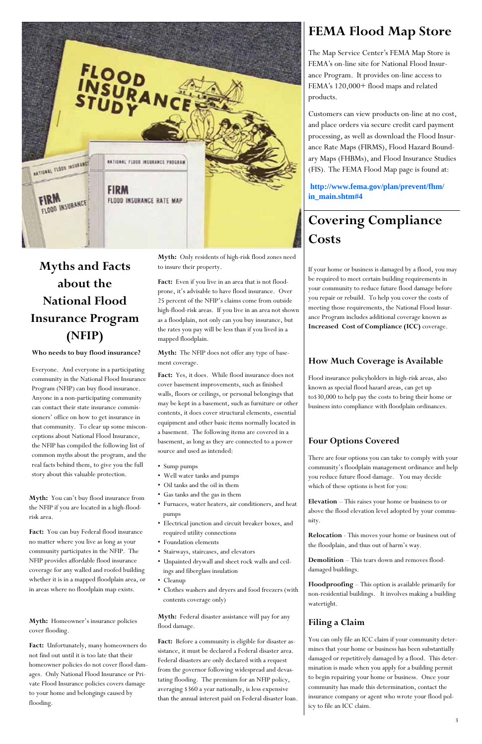

# **Myths and Facts about the National Flood Insurance Program (NFIP)**

**Who needs to buy flood insurance?** 

Everyone. And everyone in a participating community in the National Flood Insurance Program (NFIP) can buy flood insurance. Anyone in a non-participating community can contact their state insurance commissioners' office on how to get insurance in that community. To clear up some misconceptions about National Flood Insurance, the NFIP has compiled the following list of common myths about the program, and the real facts behind them, to give you the full story about this valuable protection.

Fact: You can buy Federal flood insurance no matter where you live as long as your

**Myth:** You can't buy flood insurance from the NFIP if you are located in a high-floodrisk area.

Fact: Even if you live in an area that is not floodprone, it's advisable to have flood insurance. Over 25 percent of the NFIP's claims come from outside high-flood-risk areas. If you live in an area not shown as a floodplain, not only can you buy insurance, but the rates you pay will be less than if you lived in a mapped floodplain.

community participates in the NFIP. The NFIP provides affordable flood insurance coverage for any walled and roofed building whether it is in a mapped floodplain area, or in areas where no floodplain map exists.

**Myth:** Homeowner's insurance policies cover flooding.

Fact: Yes, it does. While flood insurance does not cover basement improvements, such as finished walls, floors or ceilings, or personal belongings that may be kept in a basement, such as furniture or other contents, it does cover structural elements, essential equipment and other basic items normally located in a basement. The following items are covered in a basement, as long as they are connected to a power source and used as intended:

**Fact:** Unfortunately, many homeowners do not find out until it is too late that their homeowner policies do not cover flood damages. Only National Flood Insurance or Private Flood Insurance policies covers damage to your home and belongings caused by flooding.

**Myth:** Only residents of high-risk flood zones need to insure their property.

Fact: Before a community is eligible for disaster assistance, it must be declared a Federal disaster area. Federal disasters are only declared with a request from the governor following widespread and devastating flooding. The premium for an NFIP policy, averaging \$360 a year nationally, is less expensive than the annual interest paid on Federal disaster loan.

**Myth:** The NFIP does not offer any type of basement coverage.

- Sump pumps
- Well water tanks and pumps
- Oil tanks and the oil in them
- Gas tanks and the gas in them
- Furnaces, water heaters, air conditioners, and heat pumps
- Electrical junction and circuit breaker boxes, and required utility connections
- Foundation elements

- Stairways, staircases, and elevators
- Unpainted drywall and sheet rock walls and ceilings and fiberglass insulation
- Cleanup
- Clothes washers and dryers and food freezers (with contents coverage only)

**Myth:** Federal disaster assistance will pay for any flood damage.

# **FEMA Flood Map Store**

The Map Service Center's FEMA Map Store is FEMA's on-line site for National Flood Insurance Program. It provides on-line access to FEMA's 120,000+ flood maps and related products.

Customers can view products on-line at no cost, and place orders via secure credit card payment processing, as well as download the Flood Insurance Rate Maps (FIRMS), Flood Hazard Boundary Maps (FHBMs), and Flood Insurance Studies (FIS). The FEMA Flood Map page is found at:

**http://www.fema.gov/plan/prevent/fhm/ in\_main.shtm#4**

# **Covering Compliance Costs**

If your home or business is damaged by a flood, you may be required to meet certain building requirements in your community to reduce future flood damage before you repair or rebuild. To help you cover the costs of meeting those requirements, the National Flood Insurance Program includes additional coverage known as **Increased Cost of Compliance (ICC)** coverage.

## **How Much Coverage is Available**

Flood insurance policyholders in high-risk areas, also known as special flood hazard areas, can get up to\$30,000 to help pay the costs to bring their home or business into compliance with floodplain ordinances.

### **Four Options Covered**

There are four options you can take to comply with your community's floodplain management ordinance and help you reduce future flood damage. You may decide which of these options is best for you:

**Elevation** – This raises your home or business to or above the flood elevation level adopted by your community.

**Relocation** - This moves your home or business out of the floodplain, and thus out of harm's way.

**Demolition** – This tears down and removes flooddamaged buildings.

**Floodproofing** – This option is available primarily for non-residential buildings. It involves making a building watertight.

## **Filing a Claim**

You can only file an ICC claim if your community determines that your home or business has been substantially damaged or repetitively damaged by a flood. This determination is made when you apply for a building permit to begin repairing your home or business. Once your community has made this determination, contact the insurance company or agent who wrote your flood policy to file an ICC claim.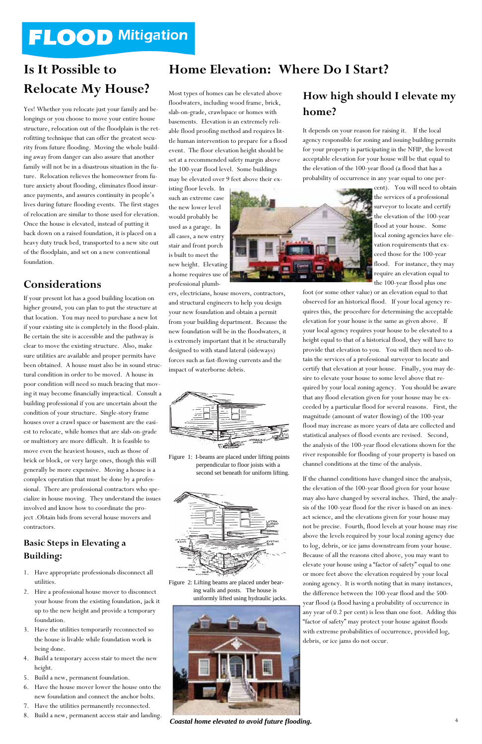# **FLOOD Mitigation**

# **Is It Possible to Relocate My House?**

Yes! Whether you relocate just your family and belongings or you choose to move your entire house structure, relocation out of the floodplain is the retrofitting technique that can offer the greatest security from future flooding. Moving the whole building away from danger can also assure that another family will not be in a disastrous situation in the future. Relocation relieves the homeowner from future anxiety about flooding, eliminates flood insurance payments, and assures continuity in people's lives during future flooding events. The first stages of relocation are similar to those used for elevation. Once the house is elevated, instead of putting it back down on a raised foundation, it is placed on a heavy duty truck bed, transported to a new site out of the floodplain, and set on a new conventional foundation.

## **Considerations**

If your present lot has a good building location on higher ground, you can plan to put the structure at that location. You may need to purchase a new lot if your existing site is completely in the flood-plain. Be certain the site is accessible and the pathway is clear to move the existing structure. Also, make sure utilities are available and proper permits have been obtained. A house must also be in sound structural condition in order to be moved. A house in poor condition will need so much bracing that moving it may become financially impractical. Consult a building professional if you are uncertain about the condition of your structure. Single-story frame houses over a crawl space or basement are the easiest to relocate, while homes that are slab-on-grade or multistory are more difficult. It is feasible to move even the heaviest houses, such as those of brick or block, or very large ones, though this will generally be more expensive. Moving a house is a complex operation that must be done by a professional. There are professional contractors who specialize in house moving. They understand the issues involved and know how to coordinate the project .Obtain bids from several house movers and contractors.

#### **Basic Steps in Elevating a**

# **Building:**

- 1. Have appropriate professionals disconnect all utilities.
- 2. Hire a professional house mover to disconnect your house from the existing foundation, jack it up to the new height and provide a temporary foundation.
- 3. Have the utilities temporarily reconnected so the house is livable while foundation work is being done.
- 4. Build a temporary access stair to meet the new height.
- 5. Build a new, permanent foundation.
- 6. Have the house mover lower the house onto the new foundation and connect the anchor bolts.
- 7. Have the utilities permanently reconnected.
- 8. Build a new, permanent access stair and landing.

## **Home Elevation: Where Do I Start?**

Most types of homes can be elevated above floodwaters, including wood frame, brick, slab-on-grade, crawlspace or homes with basements. Elevation is an extremely reliable flood proofing method and requires little human intervention to prepare for a flood event. The floor elevation height should be set at a recommended safety margin above the 100-year flood level. Some buildings may be elevated over 9 feet above their ex-

isting floor levels. In such an extreme case the new lower level would probably be used as a garage. In all cases, a new entry stair and front porch is built to meet the new height. Elevating a home requires use of professional plumb-

ers, electricians, house movers, contractors, and structural engineers to help you design your new foundation and obtain a permit from your building department. Because the new foundation will be in the floodwaters, it is extremely important that it be structurally designed to with stand lateral (sideways) forces such as fast-flowing currents and the impact of waterborne debris.

## **How high should I elevate my home?**

It depends on your reason for raising it. If the local agency responsible for zoning and issuing building permits for your property is participating in the NFIP, the lowest acceptable elevation for your house will be that equal to the elevation of the 100-year flood (a flood that has a probability of occurrence in any year equal to one per-



cent). You will need to obtain the services of a professional surveyor to locate and certify the elevation of the 100-year flood at your house. Some local zoning agencies have elevation requirements that exceed those for the 100-year flood. For instance, they may require an elevation equal to the 100-year flood plus one

foot (or some other value) or an elevation equal to that observed for an historical flood. If your local agency requires this, the procedure for determining the acceptable elevation for your house is the same as given above. If your local agency requires your house to be elevated to a height equal to that of a historical flood, they will have to provide that elevation to you. You will then need to obtain the services of a professional surveyor to locate and certify that elevation at your house. Finally, you may desire to elevate your house to some level above that required by your local zoning agency. You should be aware that any flood elevation given for your house may be exceeded by a particular flood for several reasons. First, the magnitude (amount of water flowing) of the 100-year flood may increase as more years of data are collected and statistical analyses of flood events are revised. Second, the analysis of the 100-year flood elevations shown for the river responsible for flooding of your property is based on channel conditions at the time of the analysis.

If the channel conditions have changed since the analysis, the elevation of the 100-year flood given for your house may also have changed by several inches. Third, the analysis of the 100-year flood for the river is based on an inexact science, and the elevations given for your house may not be precise. Fourth, flood levels at your house may rise above the levels required by your local zoning agency due to log, debris, or ice jams downstream from your house. Because of all the reasons cited above, you may want to elevate your house using a "factor of safety" equal to one or more feet above the elevation required by your local zoning agency. It is worth noting that in many instances, the difference between the 100-year flood and the 500 year flood (a flood having a probability of occurrence in any year of 0.2 per cent) is less than one foot. Adding this "factor of safety" may protect your house against floods with extreme probabilities of occurrence, provided log, debris, or ice jams do not occur.



Figure 1: I-beams are placed under lifting points perpendicular to floor joists with a second set beneath for uniform lifting.



Figure 2: Lifting beams are placed under bearing walls and posts. The house is uniformly lifted using hydraulic jacks.



*Coastal home elevated to avoid future flooding.*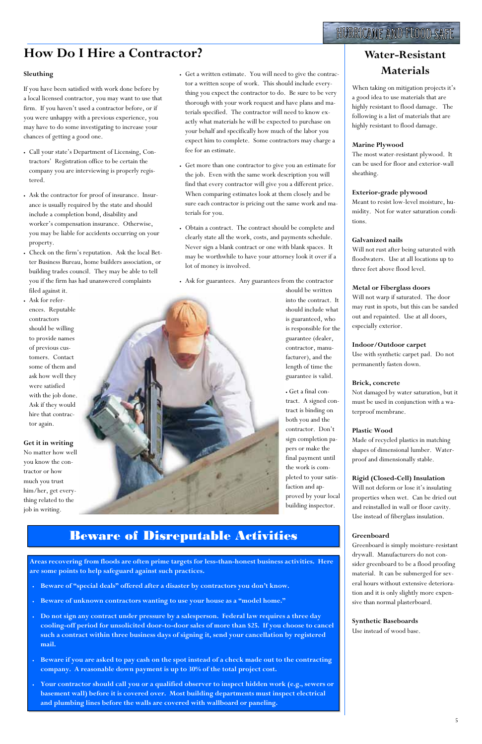# **How Do I Hire a Contractor?** Note **Note:** Nater-Resistant

#### **Sleuthing**

If you have been satisfied with work done before by a local licensed contractor, you may want to use that firm. If you haven't used a contractor before, or if you were unhappy with a previous experience, you may have to do some investigating to increase your chances of getting a good one.

- Call your state's Department of Licensing, Contractors' Registration office to be certain the company you are interviewing is properly registered.
- Ask the contractor for proof of insurance. Insurance is usually required by the state and should include a completion bond, disability and worker's compensation insurance. Otherwise, you may be liable for accidents occurring on your property.
- Check on the firm's reputation. Ask the local Better Business Bureau, home builders association, or building trades council. They may be able to tell you if the firm has had unanswered complaints filed against it.
- Ask for references. Reputable contractors should be willing to provide names of previous customers. Contact some of them and ask how well they were satisfied with the job done. Ask if they would hire that contractor again.

#### **Get it in writing**  No matter how well

you know the contractor or how much you trust him/her, get everything related to the job in writing.

# **Materials**

When taking on mitigation projects it's a good idea to use materials that are highly resistant to flood damage. The following is a list of materials that are highly resistant to flood damage.

#### **Marine Plywood**

The most water-resistant plywood. It can be used for floor and exterior-wall sheathing.

#### **Exterior-grade plywood**

Meant to resist low-level moisture, humidity. Not for water saturation conditions.

#### **Galvanized nails**

Will not rust after being saturated with floodwaters. Use at all locations up to three feet above flood level.

#### **Metal or Fiberglass doors**

Will not warp if saturated. The door may rust in spots, but this can be sanded out and repainted. Use at all doors, especially exterior.

#### **Indoor/Outdoor carpet**

Use with synthetic carpet pad. Do not permanently fasten down.

#### **Brick, concrete**

Not damaged by water saturation, but it must be used in conjunction with a waterproof membrane.

#### **Plastic Wood**

Made of recycled plastics in matching shapes of dimensional lumber. Waterproof and dimensionally stable.

#### **Rigid (Closed-Cell) Insulation**

Will not deform or lose it's insulating properties when wet. Can be dried out and reinstalled in wall or floor cavity. Use instead of fiberglass insulation.

#### **Greenboard**

Greenboard is simply moisture-resistant

drywall. Manufacturers do not consider greenboard to be a flood proofing material. It can be submerged for several hours without extensive deterioration and it is only slightly more expensive than normal plasterboard.

**Synthetic Baseboards**  Use instead of wood base.

# Beware of Disreputable Activities

**Areas recovering from floods are often prime targets for less-than-honest business activities. Here are some points to help safeguard against such practices.** 

- **Beware of "special deals" offered after a disaster by contractors you don't know.**
- **Beware of unknown contractors wanting to use your house as a "model home."**
- **Do not sign any contract under pressure by a salesperson. Federal law requires a three day cooling-off period for unsolicited door-to-door sales of more than \$25. If you choose to cancel such a contract within three business days of signing it, send your cancellation by registered mail.**
- **Beware if you are asked to pay cash on the spot instead of a check made out to the contracting company. A reasonable down payment is up to 30% of the total project cost.**
- **Your contractor should call you or a qualified observer to inspect hidden work (e.g., sewers or basement wall) before it is covered over. Most building departments must inspect electrical and plumbing lines before the walls are covered with wallboard or paneling.**
- Get a written estimate. You will need to give the contractor a written scope of work. This should include everything you expect the contractor to do. Be sure to be very thorough with your work request and have plans and materials specified. The contractor will need to know exactly what materials he will be expected to purchase on your behalf and specifically how much of the labor you expect him to complete. Some contractors may charge a fee for an estimate.
- Get more than one contractor to give you an estimate for the job. Even with the same work description you will find that every contractor will give you a different price. When comparing estimates look at them closely and be sure each contractor is pricing out the same work and materials for you.
- Obtain a contract. The contract should be complete and clearly state all the work, costs, and payments schedule. Never sign a blank contract or one with blank spaces. It may be worthwhile to have your attorney look it over if a lot of money is involved.
- Ask for guarantees. Any guarantees from the contractor

should be written into the contract. It should include what is guaranteed, who is responsible for the guarantee (dealer, contractor, manufacturer), and the length of time the guarantee is valid.

• Get a final contract. A signed contract is binding on both you and the contractor. Don't sign completion papers or make the final payment until the work is completed to your satisfaction and approved by your local building inspector.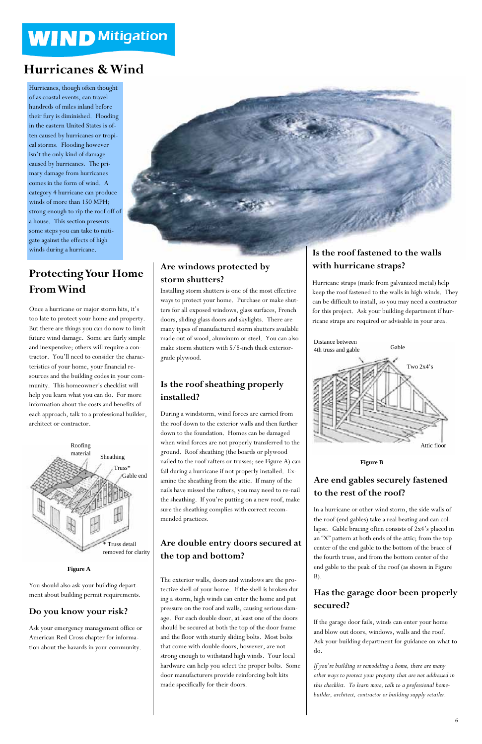Hurricanes, though often thought of as coastal events, can travel hundreds of miles inland before their fury is diminished. Flooding in the eastern United States is often caused by hurricanes or tropical storms. Flooding however isn't the only kind of damage caused by hurricanes. The primary damage from hurricanes comes in the form of wind. A category 4 hurricane can produce winds of more than 150 MPH; strong enough to rip the roof off of a house. This section presents some steps you can take to mitigate against the effects of high winds during a hurricane.

# **WIND Mitigation**

# **Hurricanes & Wind**

# **Protecting Your Home From Wind**

Once a hurricane or major storm hits, it's too late to protect your home and property. But there are things you can do now to limit future wind damage. Some are fairly simple and inexpensive; others will require a contractor. You'll need to consider the characteristics of your home, your financial resources and the building codes in your community. This homeowner's checklist will help you learn what you can do. For more information about the costs and benefits of each approach, talk to a professional builder, architect or contractor.

## **Are windows protected by storm shutters?**

Installing storm shutters is one of the most effective ways to protect your home. Purchase or make shutters for all exposed windows, glass surfaces, French doors, sliding glass doors and skylights. There are many types of manufactured storm shutters available made out of wood, aluminum or steel. You can also make storm shutters with 5/8-inch thick exteriorgrade plywood.

## **Is the roof sheathing properly installed?**

During a windstorm, wind forces are carried from the roof down to the exterior walls and then further down to the foundation. Homes can be damaged when wind forces are not properly transferred to the ground. Roof sheathing (the boards or plywood nailed to the roof rafters or trusses; see Figure A) can fail during a hurricane if not properly installed. Examine the sheathing from the attic. If many of the nails have missed the rafters, you may need to re-nail the sheathing. If you're putting on a new roof, make sure the sheathing complies with correct recommended practices.

You should also ask your building department about building permit requirements.

### **Do you know your risk?**

Ask your emergency management office or American Red Cross chapter for information about the hazards in your community.

## **Is the roof fastened to the walls with hurricane straps?**

Hurricane straps (made from galvanized metal) help keep the roof fastened to the walls in high winds. They can be difficult to install, so you may need a contractor for this project. Ask your building department if hurricane straps are required or advisable in your area.

#### **Are double entry doors secured at**

**the top and bottom?** 

The exterior walls, doors and windows are the protective shell of your home. If the shell is broken during a storm, high winds can enter the home and put pressure on the roof and walls, causing serious damage. For each double door, at least one of the doors should be secured at both the top of the door frame and the floor with sturdy sliding bolts. Most bolts that come with double doors, however, are not strong enough to withstand high winds. Your local hardware can help you select the proper bolts. Some door manufacturers provide reinforcing bolt kits made specifically for their doors.

## **Are end gables securely fastened to the rest of the roof?**

In a hurricane or other wind storm, the side walls of the roof (end gables) take a real beating and can collapse. Gable bracing often consists of 2x4's placed in an "X" pattern at both ends of the attic; from the top center of the end gable to the bottom of the brace of the fourth truss, and from the bottom center of the end gable to the peak of the roof (as shown in Figure B).

## **Has the garage door been properly secured?**

If the garage door fails, winds can enter your home and blow out doors, windows, walls and the roof. Ask your building department for guidance on what to do.

*If you're building or remodeling a home, there are many other ways to protect your property that are not addressed in this checklist. To learn more, talk to a professional homebuilder, architect, contractor or building supply retailer.* 

**Figure B** 



**Figure A** 



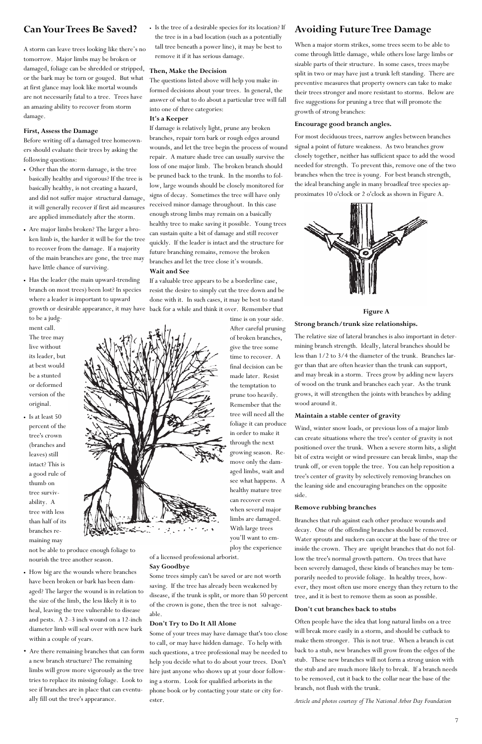## **Can Your Trees Be Saved?**

A storm can leave trees looking like there's no tomorrow. Major limbs may be broken or damaged, foliage can be shredded or stripped, or the bark may be torn or gouged. But what at first glance may look like mortal wounds are not necessarily fatal to a tree. Trees have an amazing ability to recover from storm damage.

#### **First, Assess the Damage**

Before writing off a damaged tree homeowners should evaluate their trees by asking the following questions:

- Other than the storm damage, is the tree basically healthy and vigorous? If the tree is basically healthy, is not creating a hazard, and did not suffer major structural damage, it will generally recover if first aid measures are applied immediately after the storm.
- Are major limbs broken? The larger a broken limb is, the harder it will be for the tree to recover from the damage. If a majority of the main branches are gone, the tree may have little chance of surviving.
- Has the leader (the main upward-trending branch on most trees) been lost? In species where a leader is important to upward

to be a judgment call. The tree may live without its leader, but at best would be a stunted or deformed version of the original.

• Is at least 50 percent of the tree's crown (branches and leaves) still intact? This is a good rule of thumb on tree survivability. A tree with less than half of its branches remaining may

not be able to produce enough foliage to nourish the tree another season.

- How big are the wounds where branches have been broken or bark has been damaged? The larger the wound is in relation to the size of the limb, the less likely it is to heal, leaving the tree vulnerable to disease and pests. A 2–3 inch wound on a 12-inch diameter limb will seal over with new bark within a couple of years.
- Are there remaining branches that can form a new branch structure? The remaining limbs will grow more vigorously as the tree tries to replace its missing foliage. Look to see if branches are in place that can eventually fill out the tree's appearance.

• Is the tree of a desirable species for its location? If the tree is in a bad location (such as a potentially tall tree beneath a power line), it may be best to remove it if it has serious damage.

growth or desirable appearance, it may have back for a while and think it over. Remember that If a valuable tree appears to be a borderline case, resist the desire to simply cut the tree down and be done with it. In such cases, it may be best to stand

#### **Then, Make the Decision**

The questions listed above will help you make informed decisions about your trees. In general, the answer of what to do about a particular tree will fall into one of three categories:

#### **It's a Keeper**

If damage is relatively light, prune any broken branches, repair torn bark or rough edges around wounds, and let the tree begin the process of wound repair. A mature shade tree can usually survive the loss of one major limb. The broken branch should be pruned back to the trunk. In the months to follow, large wounds should be closely monitored for signs of decay. Sometimes the tree will have only received minor damage throughout. In this case enough strong limbs may remain on a basically healthy tree to make saving it possible. Young trees can sustain quite a bit of damage and still recover quickly. If the leader is intact and the structure for future branching remains, remove the broken branches and let the tree close it's wounds.

#### **Wait and See**

time is on your side. After careful pruning of broken branches, give the tree some time to recover. A final decision can be made later. Resist the temptation to prune too heavily. Remember that the tree will need all the foliage it can produce in order to make it through the next growing season. Remove only the damaged limbs, wait and see what happens. A healthy mature tree can recover even when several major limbs are damaged. With large trees you'll want to em-

ploy the experience of a licensed professional arborist.

#### **Say Goodbye**

Some trees simply can't be saved or are not worth saving. If the tree has already been weakened by disease, if the trunk is split, or more than 50 percent of the crown is gone, then the tree is not salvageable.

#### **Don't Try to Do It All Alone**

Some of your trees may have damage that's too close to call, or may have hidden damage. To help with such questions, a tree professional may be needed to help you decide what to do about your trees. Don't hire just anyone who shows up at your door following a storm. Look for qualified arborists in the phone book or by contacting your state or city forester.

## **Avoiding Future Tree Damage**

When a major storm strikes, some trees seem to be able to come through little damage, while others lose large limbs or sizable parts of their structure. In some cases, trees maybe split in two or may have just a trunk left standing. There are preventive measures that property owners can take to make their trees stronger and more resistant to storms. Below are five suggestions for pruning a tree that will promote the growth of strong branches:

#### **Encourage good branch angles.**

For most deciduous trees, narrow angles between branches signal a point of future weakness. As two branches grow closely together, neither has sufficient space to add the wood needed for strength. To prevent this, remove one of the two branches when the tree is young. For best branch strength, the ideal branching angle in many broadleaf tree species approximates 10 o'clock or 2 o'clock as shown in Figure A.



**Figure A** 

#### **Strong branch/trunk size relationships.**

The relative size of lateral branches is also important in determining branch strength. Ideally, lateral branches should be less than 1/2 to 3/4 the diameter of the trunk. Branches larger than that are often heavier than the trunk can support, and may break in a storm. Trees grow by adding new layers of wood on the trunk and branches each year. As the trunk grows, it will strengthen the joints with branches by adding wood around it.

#### **Maintain a stable center of gravity**

Wind, winter snow loads, or previous loss of a major limb can create situations where the tree's center of gravity is not positioned over the trunk. When a severe storm hits, a slight bit of extra weight or wind pressure can break limbs, snap the trunk off, or even topple the tree. You can help reposition a tree's center of gravity by selectively removing branches on the leaning side and encouraging branches on the opposite side.

#### **Remove rubbing branches**

Branches that rub against each other produce wounds and decay. One of the offending branches should be removed. Water sprouts and suckers can occur at the base of the tree or inside the crown. They are upright branches that do not follow the tree's normal growth pattern. On trees that have been severely damaged, these kinds of branches may be temporarily needed to provide foliage. In healthy trees, however, they most often use more energy than they return to the tree, and it is best to remove them as soon as possible.

#### **Don't cut branches back to stubs**

Often people have the idea that long natural limbs on a tree will break more easily in a storm, and should be cutback to make them stronger. This is not true. When a branch is cut back to a stub, new branches will grow from the edges of the stub. These new branches will not form a strong union with the stub and are much more likely to break. If a branch needs to be removed, cut it back to the collar near the base of the branch, not flush with the trunk.

*Article and photos courtesy of The National Arbor Day Foundation*